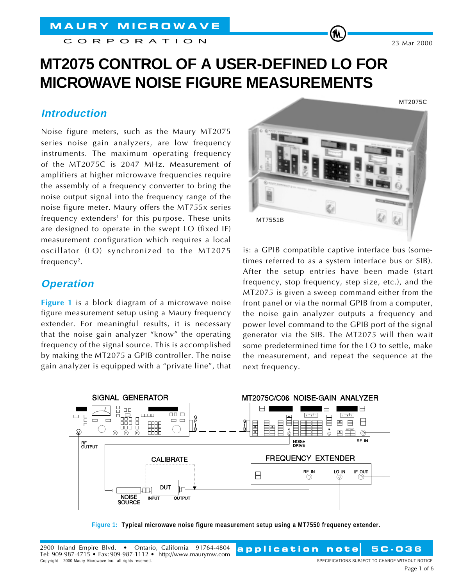CORPORATION

# **MT2075 CONTROL OF A USER-DEFINED LO FOR MICROWAVE NOISE FIGURE MEASUREMENTS**

### **Introduction**

Noise figure meters, such as the Maury MT2075 series noise gain analyzers, are low frequency instruments. The maximum operating frequency of the MT2075C is 2047 MHz. Measurement of amplifiers at higher microwave frequencies require the assembly of a frequency converter to bring the noise output signal into the frequency range of the noise figure meter. Maury offers the MT755x series  $f$ requency extenders<sup>1</sup> for this purpose. These units are designed to operate in the swept LO (fixed IF) measurement configuration which requires a local oscillator (LO) synchronized to the MT2075 frequency<sup>2</sup>.

# **Operation**

**Figure 1** is a block diagram of a microwave noise figure measurement setup using a Maury frequency extender. For meaningful results, it is necessary that the noise gain analyzer "know" the operating frequency of the signal source. This is accomplished by making the MT2075 a GPIB controller. The noise gain analyzer is equipped with a "private line", that



(M

is: a GPIB compatible captive interface bus (sometimes referred to as a system interface bus or SIB). After the setup entries have been made (start frequency, stop frequency, step size, etc.), and the MT2075 is given a sweep command either from the front panel or via the normal GPIB from a computer, the noise gain analyzer outputs a frequency and power level command to the GPIB port of the signal generator via the SIB. The MT2075 will then wait some predetermined time for the LO to settle, make the measurement, and repeat the sequence at the next frequency.



**Figure 1: Typical microwave noise figure measurement setup using a MT7550 frequency extender.**

Page 1 of 6

**application note 5C-036**

note

23 Mar 2000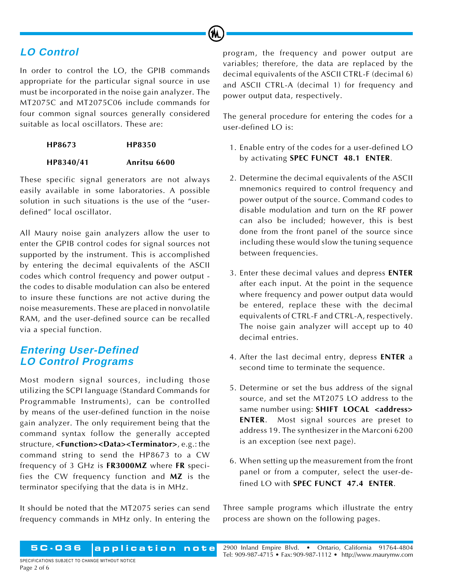# **LO Control**

In order to control the LO, the GPIB commands appropriate for the particular signal source in use must be incorporated in the noise gain analyzer. The MT2075C and MT2075C06 include commands for four common signal sources generally considered suitable as local oscillators. These are:

(M

**HP8673 HP8350**

#### **HP8340/41 Anritsu 6600**

These specific signal generators are not always easily available in some laboratories. A possible solution in such situations is the use of the "userdefined" local oscillator.

All Maury noise gain analyzers allow the user to enter the GPIB control codes for signal sources not supported by the instrument. This is accomplished by entering the decimal equivalents of the ASCII codes which control frequency and power output the codes to disable modulation can also be entered to insure these functions are not active during the noise measurements. These are placed in nonvolatile RAM, and the user-defined source can be recalled via a special function.

## **Entering User-Defined LO Control Programs**

Most modern signal sources, including those utilizing the SCPI language (Standard Commands for Programmable Instruments), can be controlled by means of the user-defined function in the noise gain analyzer. The only requirement being that the command syntax follow the generally accepted structure, **<Function><Data><Terminator>**, e.g.: the command string to send the HP8673 to a CW frequency of 3 GHz is **FR3000MZ** where **FR** specifies the CW frequency function and **MZ** is the terminator specifying that the data is in MHz.

It should be noted that the MT2075 series can send frequency commands in MHz only. In entering the program, the frequency and power output are variables; therefore, the data are replaced by the decimal equivalents of the ASCII CTRL-F (decimal 6) and ASCII CTRL-A (decimal 1) for frequency and power output data, respectively.

The general procedure for entering the codes for a user-defined LO is:

- 1. Enable entry of the codes for a user-defined LO by activating **SPEC FUNCT 48.1 ENTER**.
- 2. Determine the decimal equivalents of the ASCII mnemonics required to control frequency and power output of the source. Command codes to disable modulation and turn on the RF power can also be included; however, this is best done from the front panel of the source since including these would slow the tuning sequence between frequencies.
- 3. Enter these decimal values and depress **ENTER** after each input. At the point in the sequence where frequency and power output data would be entered, replace these with the decimal equivalents of CTRL-F and CTRL-A, respectively. The noise gain analyzer will accept up to 40 decimal entries.
- 4. After the last decimal entry, depress **ENTER** a second time to terminate the sequence.
- 5. Determine or set the bus address of the signal source, and set the MT2075 LO address to the same number using: **SHIFT LOCAL <address> ENTER**. Most signal sources are preset to address 19. The synthesizer in the Marconi 6200 is an exception (see next page).
- 6. When setting up the measurement from the front panel or from a computer, select the user-defined LO with **SPEC FUNCT 47.4 ENTER**.

Three sample programs which illustrate the entry process are shown on the following pages.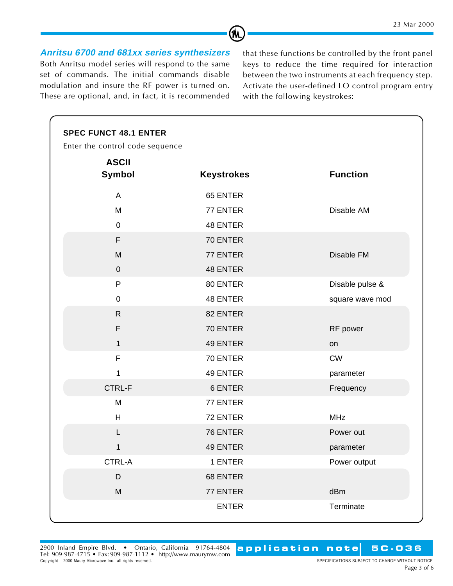**Anritsu 6700 and 681xx series synthesizers** Both Anritsu model series will respond to the same set of commands. The initial commands disable modulation and insure the RF power is turned on. These are optional, and, in fact, it is recommended

CORPORATION

that these functions be controlled by the front panel keys to reduce the time required for interaction between the two instruments at each frequency step. Activate the user-defined LO control program entry with the following keystrokes:

| <b>ASCII</b>  |                   |                 |
|---------------|-------------------|-----------------|
| <b>Symbol</b> | <b>Keystrokes</b> | <b>Function</b> |
| A             | 65 ENTER          |                 |
| M             | 77 ENTER          | Disable AM      |
| $\mathbf 0$   | <b>48 ENTER</b>   |                 |
| F             | 70 ENTER          |                 |
| M             | 77 ENTER          | Disable FM      |
| $\mathbf{0}$  | <b>48 ENTER</b>   |                 |
| P             | 80 ENTER          | Disable pulse & |
| 0             | <b>48 ENTER</b>   | square wave mod |
| $\mathsf{R}$  | 82 ENTER          |                 |
| F             | 70 ENTER          | RF power        |
| $\mathbf{1}$  | 49 ENTER          | on              |
| F             | 70 ENTER          | CW              |
| 1             | 49 ENTER          | parameter       |
| <b>CTRL-F</b> | 6 ENTER           | Frequency       |
| M             | 77 ENTER          |                 |
| H             | 72 ENTER          | <b>MHz</b>      |
|               | 76 ENTER          | Power out       |
| 1             | <b>49 ENTER</b>   | parameter       |
| CTRL-A        | 1 ENTER           | Power output    |
| D             | 68 ENTER          |                 |
| M             | 77 ENTER          | dBm             |
|               | <b>ENTER</b>      | Terminate       |

**M** 

**application note 5C-036**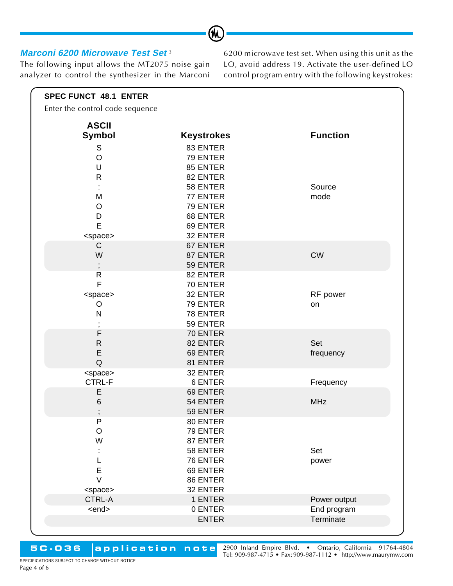#### **Marconi 6200 Microwave Test Set** <sup>3</sup>

The following input allows the MT2075 noise gain analyzer to control the synthesizer in the Marconi 6200 microwave test set. When using this unit as the LO, avoid address 19. Activate the user-defined LO control program entry with the following keystrokes:

| <b>ASCII</b>                 |                      |                             |
|------------------------------|----------------------|-----------------------------|
| Symbol                       | <b>Keystrokes</b>    | <b>Function</b>             |
| S                            | 83 ENTER             |                             |
| $\mathsf O$                  | 79 ENTER             |                             |
| $\mathsf U$                  | 85 ENTER             |                             |
| $\mathsf{R}$                 | 82 ENTER             |                             |
|                              | 58 ENTER             | Source                      |
| M                            | 77 ENTER             | mode                        |
| $\circ$                      | 79 ENTER             |                             |
| D                            | 68 ENTER             |                             |
| E                            | 69 ENTER             |                             |
| <space></space>              | 32 ENTER             |                             |
| C                            | 67 ENTER             |                             |
| W                            | 87 ENTER             | <b>CW</b>                   |
| $\vdots$                     | 59 ENTER             |                             |
| $\mathsf{R}$                 | 82 ENTER             |                             |
| $\mathsf F$                  | 70 ENTER             |                             |
| <space></space>              | 32 ENTER             | RF power                    |
| O                            | 79 ENTER             | on                          |
| N                            | 78 ENTER             |                             |
| $^\mathrm{''}$               | 59 ENTER             |                             |
| $\mathsf F$                  | 70 ENTER             |                             |
| ${\sf R}$                    | 82 ENTER             | Set                         |
| E                            | 69 ENTER             | frequency                   |
| $\mathsf Q$                  | 81 ENTER             |                             |
| <space></space>              | 32 ENTER             |                             |
| CTRL-F                       | 6 ENTER              | Frequency                   |
| E                            | 69 ENTER             |                             |
| 6                            | 54 ENTER             | <b>MHz</b>                  |
|                              | 59 ENTER             |                             |
| ${\sf P}$                    | 80 ENTER             |                             |
| $\mathsf O$                  | 79 ENTER             |                             |
| W                            | 87 ENTER             |                             |
|                              | 58 ENTER             | Set                         |
|                              | 76 ENTER             | power                       |
| E<br>$\vee$                  | 69 ENTER             |                             |
|                              | 86 ENTER<br>32 ENTER |                             |
| <space></space>              |                      |                             |
| <b>CTRL-A</b><br><end></end> | 1 ENTER<br>0 ENTER   | Power output<br>End program |
|                              |                      | Terminate                   |
|                              | <b>ENTER</b>         |                             |
|                              |                      |                             |

(M

**5C-036 application note**

2900 Inland Empire Blvd. • Ontario, California 91764-4804 Tel: 909-987-4715 • Fax: 909-987-1112 • <http://www.maurymw.com>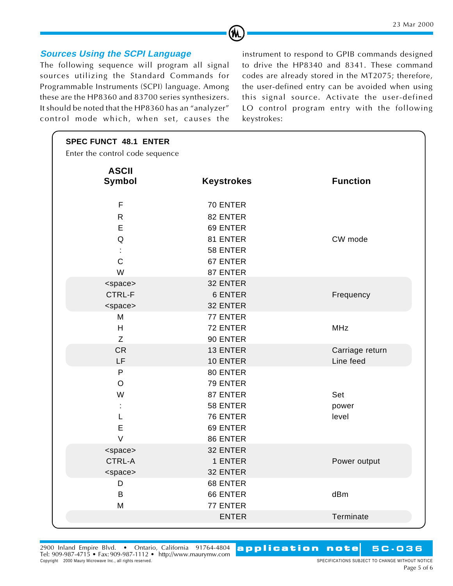## **Sources Using the SCPI Language**

The following sequence will program all signal sources utilizing the Standard Commands for Programmable Instruments (SCPI) language. Among these are the HP8360 and 83700 series synthesizers. It should be noted that the HP8360 has an "analyzer" control mode which, when set, causes the

CORPORATION

instrument to respond to GPIB commands designed to drive the HP8340 and 8341. These command codes are already stored in the MT2075; therefore, the user-defined entry can be avoided when using this signal source. Activate the user-defined LO control program entry with the following keystrokes:

| <b>SPEC FUNCT 48.1 ENTER</b>                    |                   |                 |
|-------------------------------------------------|-------------------|-----------------|
| Enter the control code sequence<br><b>ASCII</b> |                   |                 |
| Symbol                                          | <b>Keystrokes</b> | <b>Function</b> |
| $\mathsf F$                                     | 70 ENTER          |                 |
| R                                               | 82 ENTER          |                 |
| E                                               | 69 ENTER          |                 |
| $\sf Q$                                         | 81 ENTER          | CW mode         |
|                                                 | 58 ENTER          |                 |
| $\mathsf{C}$                                    | 67 ENTER          |                 |
| W                                               | 87 ENTER          |                 |
| <space></space>                                 | 32 ENTER          |                 |
| CTRL-F                                          | <b>6 ENTER</b>    | Frequency       |
| <space></space>                                 | 32 ENTER          |                 |
| M                                               | 77 ENTER          |                 |
| H                                               | 72 ENTER          | <b>MHz</b>      |
| $\mathsf Z$                                     | 90 ENTER          |                 |
| <b>CR</b>                                       | 13 ENTER          | Carriage return |
| LF                                              | 10 ENTER          | Line feed       |
| P                                               | 80 ENTER          |                 |
| $\bigcirc$                                      | 79 ENTER          |                 |
| W                                               | 87 ENTER          | Set             |
|                                                 | 58 ENTER          | power           |
| L                                               | 76 ENTER          | level           |
| E                                               | 69 ENTER          |                 |
| $\vee$                                          | 86 ENTER          |                 |
| <space></space>                                 | 32 ENTER          |                 |
| <b>CTRL-A</b>                                   | 1 ENTER           | Power output    |
| <space></space>                                 | 32 ENTER          |                 |
| D                                               | 68 ENTER          |                 |
| B                                               | 66 ENTER          | dBm             |
| M                                               | 77 ENTER          |                 |
|                                                 | <b>ENTER</b>      | Terminate       |
|                                                 |                   |                 |

(M

2900 Inland Empire Blvd. • Ontario, California 91764-4804 Tel: 909-987-4715 • Fax: 909-987-1112 • <http://www.maurymw.com> Copyright 2000 Maury Microwave Inc., all rights reserved. See the served of the served of the served. SPECIFICATIONS SUBJECT TO CHANGE WITHOUT NOTICE

**application note 5C-036 application note**